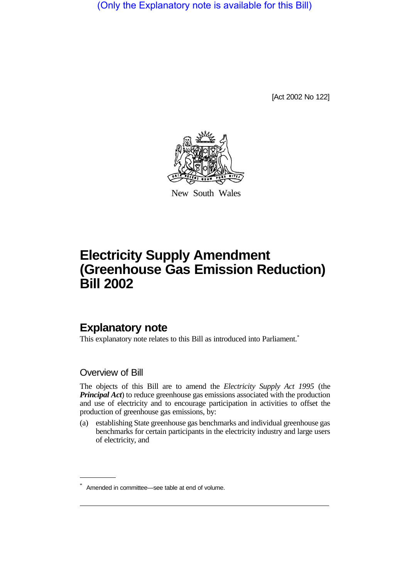(Only the Explanatory note is available for this Bill)

[Act 2002 No 122]



New South Wales

# **Electricity Supply Amendment (Greenhouse Gas Emission Reduction) Bill 2002**

# **Explanatory note**

This explanatory note relates to this Bill as introduced into Parliament.<sup>\*</sup>

Overview of Bill

The objects of this Bill are to amend the *Electricity Supply Act 1995* (the *Principal Act*) to reduce greenhouse gas emissions associated with the production and use of electricity and to encourage participation in activities to offset the production of greenhouse gas emissions, by:

(a) establishing State greenhouse gas benchmarks and individual greenhouse gas benchmarks for certain participants in the electricity industry and large users of electricity, and

Amended in committee—see table at end of volume.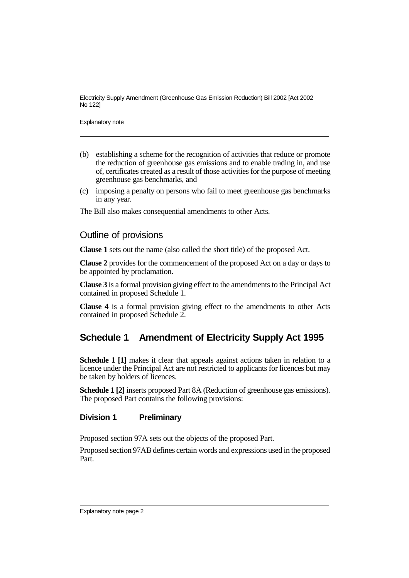Explanatory note

- (b) establishing a scheme for the recognition of activities that reduce or promote the reduction of greenhouse gas emissions and to enable trading in, and use of, certificates created as a result of those activities for the purpose of meeting greenhouse gas benchmarks, and
- (c) imposing a penalty on persons who fail to meet greenhouse gas benchmarks in any year.

The Bill also makes consequential amendments to other Acts.

# Outline of provisions

**Clause 1** sets out the name (also called the short title) of the proposed Act.

**Clause 2** provides for the commencement of the proposed Act on a day or days to be appointed by proclamation.

**Clause 3** is a formal provision giving effect to the amendments to the Principal Act contained in proposed Schedule 1.

**Clause 4** is a formal provision giving effect to the amendments to other Acts contained in proposed Schedule 2.

# **Schedule 1 Amendment of Electricity Supply Act 1995**

**Schedule 1 [1]** makes it clear that appeals against actions taken in relation to a licence under the Principal Act are not restricted to applicants for licences but may be taken by holders of licences.

**Schedule 1 [2]** inserts proposed Part 8A (Reduction of greenhouse gas emissions). The proposed Part contains the following provisions:

# **Division 1 Preliminary**

Proposed section 97A sets out the objects of the proposed Part.

Proposed section 97AB defines certain words and expressions used in the proposed Part.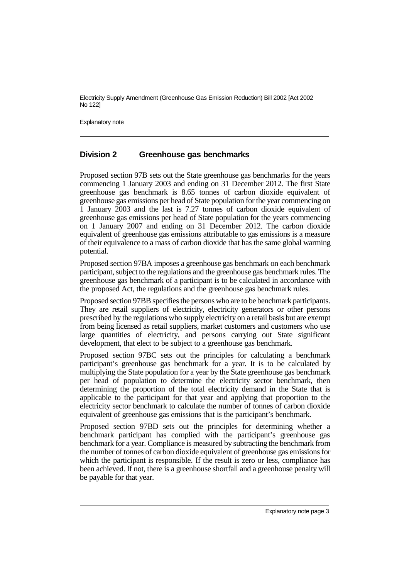Explanatory note

# **Division 2 Greenhouse gas benchmarks**

Proposed section 97B sets out the State greenhouse gas benchmarks for the years commencing 1 January 2003 and ending on 31 December 2012. The first State greenhouse gas benchmark is 8.65 tonnes of carbon dioxide equivalent of greenhouse gas emissions per head of State population for the year commencing on 1 January 2003 and the last is 7.27 tonnes of carbon dioxide equivalent of greenhouse gas emissions per head of State population for the years commencing on 1 January 2007 and ending on 31 December 2012. The carbon dioxide equivalent of greenhouse gas emissions attributable to gas emissions is a measure of their equivalence to a mass of carbon dioxide that has the same global warming potential.

Proposed section 97BA imposes a greenhouse gas benchmark on each benchmark participant, subject to the regulations and the greenhouse gas benchmark rules. The greenhouse gas benchmark of a participant is to be calculated in accordance with the proposed Act, the regulations and the greenhouse gas benchmark rules.

Proposed section 97BB specifies the persons who are to be benchmark participants. They are retail suppliers of electricity, electricity generators or other persons prescribed by the regulations who supply electricity on a retail basis but are exempt from being licensed as retail suppliers, market customers and customers who use large quantities of electricity, and persons carrying out State significant development, that elect to be subject to a greenhouse gas benchmark.

Proposed section 97BC sets out the principles for calculating a benchmark participant's greenhouse gas benchmark for a year. It is to be calculated by multiplying the State population for a year by the State greenhouse gas benchmark per head of population to determine the electricity sector benchmark, then determining the proportion of the total electricity demand in the State that is applicable to the participant for that year and applying that proportion to the electricity sector benchmark to calculate the number of tonnes of carbon dioxide equivalent of greenhouse gas emissions that is the participant's benchmark.

Proposed section 97BD sets out the principles for determining whether a benchmark participant has complied with the participant's greenhouse gas benchmark for a year. Compliance is measured by subtracting the benchmark from the number of tonnes of carbon dioxide equivalent of greenhouse gas emissions for which the participant is responsible. If the result is zero or less, compliance has been achieved. If not, there is a greenhouse shortfall and a greenhouse penalty will be payable for that year.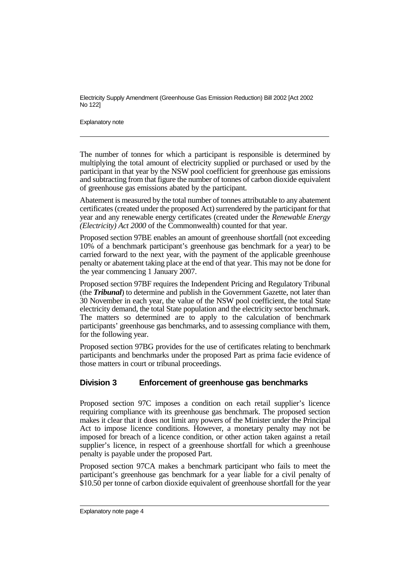Explanatory note

The number of tonnes for which a participant is responsible is determined by multiplying the total amount of electricity supplied or purchased or used by the participant in that year by the NSW pool coefficient for greenhouse gas emissions and subtracting from that figure the number of tonnes of carbon dioxide equivalent of greenhouse gas emissions abated by the participant.

Abatement is measured by the total number of tonnes attributable to any abatement certificates (created under the proposed Act) surrendered by the participant for that year and any renewable energy certificates (created under the *Renewable Energy (Electricity) Act 2000* of the Commonwealth) counted for that year.

Proposed section 97BE enables an amount of greenhouse shortfall (not exceeding 10% of a benchmark participant's greenhouse gas benchmark for a year) to be carried forward to the next year, with the payment of the applicable greenhouse penalty or abatement taking place at the end of that year. This may not be done for the year commencing 1 January 2007.

Proposed section 97BF requires the Independent Pricing and Regulatory Tribunal (the *Tribunal*) to determine and publish in the Government Gazette, not later than 30 November in each year, the value of the NSW pool coefficient, the total State electricity demand, the total State population and the electricity sector benchmark. The matters so determined are to apply to the calculation of benchmark participants' greenhouse gas benchmarks, and to assessing compliance with them, for the following year.

Proposed section 97BG provides for the use of certificates relating to benchmark participants and benchmarks under the proposed Part as prima facie evidence of those matters in court or tribunal proceedings.

# **Division 3 Enforcement of greenhouse gas benchmarks**

Proposed section 97C imposes a condition on each retail supplier's licence requiring compliance with its greenhouse gas benchmark. The proposed section makes it clear that it does not limit any powers of the Minister under the Principal Act to impose licence conditions. However, a monetary penalty may not be imposed for breach of a licence condition, or other action taken against a retail supplier's licence, in respect of a greenhouse shortfall for which a greenhouse penalty is payable under the proposed Part.

Proposed section 97CA makes a benchmark participant who fails to meet the participant's greenhouse gas benchmark for a year liable for a civil penalty of \$10.50 per tonne of carbon dioxide equivalent of greenhouse shortfall for the year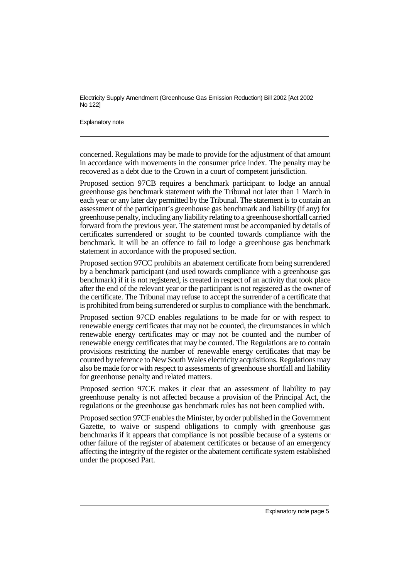Explanatory note

concerned. Regulations may be made to provide for the adjustment of that amount in accordance with movements in the consumer price index. The penalty may be recovered as a debt due to the Crown in a court of competent jurisdiction.

Proposed section 97CB requires a benchmark participant to lodge an annual greenhouse gas benchmark statement with the Tribunal not later than 1 March in each year or any later day permitted by the Tribunal. The statement is to contain an assessment of the participant's greenhouse gas benchmark and liability (if any) for greenhouse penalty, including any liability relating to a greenhouse shortfall carried forward from the previous year. The statement must be accompanied by details of certificates surrendered or sought to be counted towards compliance with the benchmark. It will be an offence to fail to lodge a greenhouse gas benchmark statement in accordance with the proposed section.

Proposed section 97CC prohibits an abatement certificate from being surrendered by a benchmark participant (and used towards compliance with a greenhouse gas benchmark) if it is not registered, is created in respect of an activity that took place after the end of the relevant year or the participant is not registered as the owner of the certificate. The Tribunal may refuse to accept the surrender of a certificate that is prohibited from being surrendered or surplus to compliance with the benchmark.

Proposed section 97CD enables regulations to be made for or with respect to renewable energy certificates that may not be counted, the circumstances in which renewable energy certificates may or may not be counted and the number of renewable energy certificates that may be counted. The Regulations are to contain provisions restricting the number of renewable energy certificates that may be counted by reference to New South Wales electricity acquisitions. Regulations may also be made for or with respect to assessments of greenhouse shortfall and liability for greenhouse penalty and related matters.

Proposed section 97CE makes it clear that an assessment of liability to pay greenhouse penalty is not affected because a provision of the Principal Act, the regulations or the greenhouse gas benchmark rules has not been complied with.

Proposed section 97CF enables the Minister, by order published in the Government Gazette, to waive or suspend obligations to comply with greenhouse gas benchmarks if it appears that compliance is not possible because of a systems or other failure of the register of abatement certificates or because of an emergency affecting the integrity of the register or the abatement certificate system established under the proposed Part.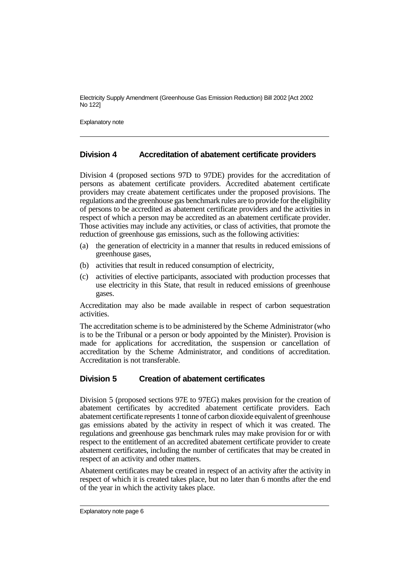Explanatory note

#### **Division 4 Accreditation of abatement certificate providers**

Division 4 (proposed sections 97D to 97DE) provides for the accreditation of persons as abatement certificate providers. Accredited abatement certificate providers may create abatement certificates under the proposed provisions. The regulations and the greenhouse gas benchmark rules are to provide for the eligibility of persons to be accredited as abatement certificate providers and the activities in respect of which a person may be accredited as an abatement certificate provider. Those activities may include any activities, or class of activities, that promote the reduction of greenhouse gas emissions, such as the following activities:

- (a) the generation of electricity in a manner that results in reduced emissions of greenhouse gases,
- (b) activities that result in reduced consumption of electricity,
- (c) activities of elective participants, associated with production processes that use electricity in this State, that result in reduced emissions of greenhouse gases.

Accreditation may also be made available in respect of carbon sequestration activities.

The accreditation scheme is to be administered by the Scheme Administrator (who is to be the Tribunal or a person or body appointed by the Minister). Provision is made for applications for accreditation, the suspension or cancellation of accreditation by the Scheme Administrator, and conditions of accreditation. Accreditation is not transferable.

#### **Division 5 Creation of abatement certificates**

Division 5 (proposed sections 97E to 97EG) makes provision for the creation of abatement certificates by accredited abatement certificate providers. Each abatement certificate represents 1 tonne of carbon dioxide equivalent of greenhouse gas emissions abated by the activity in respect of which it was created. The regulations and greenhouse gas benchmark rules may make provision for or with respect to the entitlement of an accredited abatement certificate provider to create abatement certificates, including the number of certificates that may be created in respect of an activity and other matters.

Abatement certificates may be created in respect of an activity after the activity in respect of which it is created takes place, but no later than 6 months after the end of the year in which the activity takes place.

Explanatory note page 6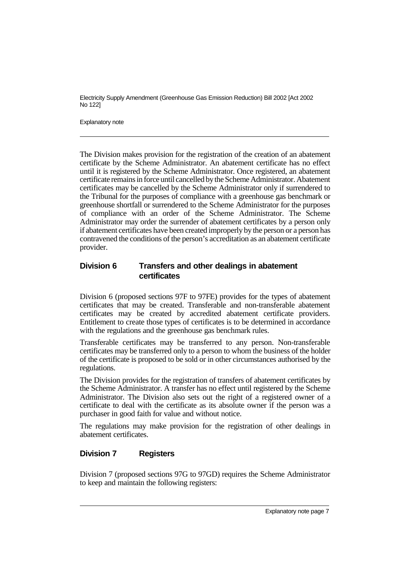Explanatory note

The Division makes provision for the registration of the creation of an abatement certificate by the Scheme Administrator. An abatement certificate has no effect until it is registered by the Scheme Administrator. Once registered, an abatement certificate remains in force until cancelled bythe Scheme Administrator. Abatement certificates may be cancelled by the Scheme Administrator only if surrendered to the Tribunal for the purposes of compliance with a greenhouse gas benchmark or greenhouse shortfall or surrendered to the Scheme Administrator for the purposes of compliance with an order of the Scheme Administrator. The Scheme Administrator may order the surrender of abatement certificates by a person only if abatement certificates have been created improperly by the person or a person has contravened the conditions of the person's accreditation as an abatement certificate provider.

#### **Division 6 Transfers and other dealings in abatement certificates**

Division 6 (proposed sections 97F to 97FE) provides for the types of abatement certificates that may be created. Transferable and non-transferable abatement certificates may be created by accredited abatement certificate providers. Entitlement to create those types of certificates is to be determined in accordance with the regulations and the greenhouse gas benchmark rules.

Transferable certificates may be transferred to any person. Non-transferable certificates may be transferred only to a person to whom the business of the holder of the certificate is proposed to be sold or in other circumstances authorised by the regulations.

The Division provides for the registration of transfers of abatement certificates by the Scheme Administrator. A transfer has no effect until registered by the Scheme Administrator. The Division also sets out the right of a registered owner of a certificate to deal with the certificate as its absolute owner if the person was a purchaser in good faith for value and without notice.

The regulations may make provision for the registration of other dealings in abatement certificates.

# **Division 7 Registers**

Division 7 (proposed sections 97G to 97GD) requires the Scheme Administrator to keep and maintain the following registers: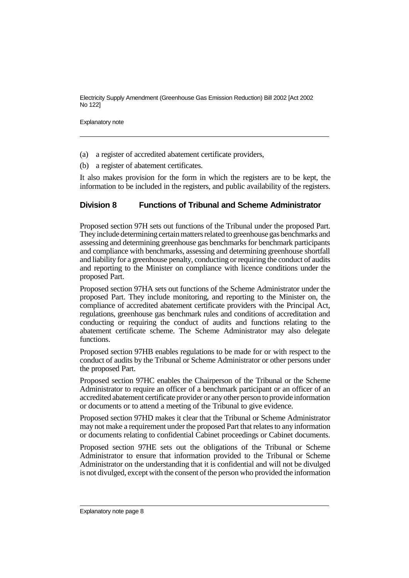Explanatory note

- (a) a register of accredited abatement certificate providers,
- (b) a register of abatement certificates.

It also makes provision for the form in which the registers are to be kept, the information to be included in the registers, and public availability of the registers.

#### **Division 8 Functions of Tribunal and Scheme Administrator**

Proposed section 97H sets out functions of the Tribunal under the proposed Part. They include determining certain matters related to greenhouse gas benchmarks and assessing and determining greenhouse gas benchmarks for benchmark participants and compliance with benchmarks, assessing and determining greenhouse shortfall and liability for a greenhouse penalty, conducting or requiring the conduct of audits and reporting to the Minister on compliance with licence conditions under the proposed Part.

Proposed section 97HA sets out functions of the Scheme Administrator under the proposed Part. They include monitoring, and reporting to the Minister on, the compliance of accredited abatement certificate providers with the Principal Act, regulations, greenhouse gas benchmark rules and conditions of accreditation and conducting or requiring the conduct of audits and functions relating to the abatement certificate scheme. The Scheme Administrator may also delegate functions.

Proposed section 97HB enables regulations to be made for or with respect to the conduct of audits by the Tribunal or Scheme Administrator or other persons under the proposed Part.

Proposed section 97HC enables the Chairperson of the Tribunal or the Scheme Administrator to require an officer of a benchmark participant or an officer of an accredited abatement certificate provider or anyother person to provide information or documents or to attend a meeting of the Tribunal to give evidence.

Proposed section 97HD makes it clear that the Tribunal or Scheme Administrator may not make a requirement under the proposed Part that relates to any information or documents relating to confidential Cabinet proceedings or Cabinet documents.

Proposed section 97HE sets out the obligations of the Tribunal or Scheme Administrator to ensure that information provided to the Tribunal or Scheme Administrator on the understanding that it is confidential and will not be divulged is not divulged, except with the consent of the person who provided the information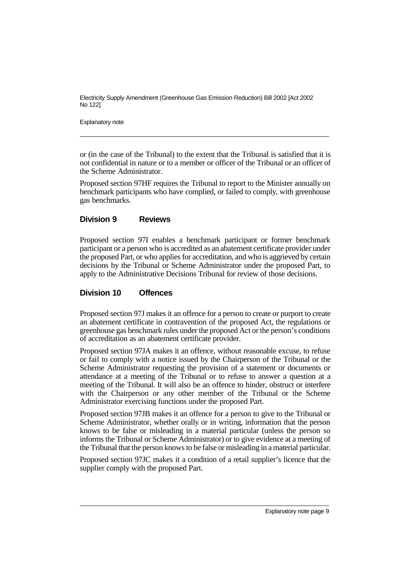Explanatory note

or (in the case of the Tribunal) to the extent that the Tribunal is satisfied that it is not confidential in nature or to a member or officer of the Tribunal or an officer of the Scheme Administrator.

Proposed section 97HF requires the Tribunal to report to the Minister annually on benchmark participants who have complied, or failed to comply, with greenhouse gas benchmarks.

#### **Division 9 Reviews**

Proposed section 97I enables a benchmark participant or former benchmark participant or a person who is accredited as an abatement certificate provider under the proposed Part, or who applies for accreditation, and who is aggrieved by certain decisions by the Tribunal or Scheme Administrator under the proposed Part, to apply to the Administrative Decisions Tribunal for review of those decisions.

#### **Division 10 Offences**

Proposed section 97J makes it an offence for a person to create or purport to create an abatement certificate in contravention of the proposed Act, the regulations or greenhouse gas benchmark rules under the proposed Act or the person's conditions of accreditation as an abatement certificate provider.

Proposed section 97JA makes it an offence, without reasonable excuse, to refuse or fail to comply with a notice issued by the Chairperson of the Tribunal or the Scheme Administrator requesting the provision of a statement or documents or attendance at a meeting of the Tribunal or to refuse to answer a question at a meeting of the Tribunal. It will also be an offence to hinder, obstruct or interfere with the Chairperson or any other member of the Tribunal or the Scheme Administrator exercising functions under the proposed Part.

Proposed section 97JB makes it an offence for a person to give to the Tribunal or Scheme Administrator, whether orally or in writing, information that the person knows to be false or misleading in a material particular (unless the person so informs the Tribunal or Scheme Administrator) or to give evidence at a meeting of the Tribunal that the person knows to be false or misleading in a material particular.

Proposed section 97JC makes it a condition of a retail supplier's licence that the supplier comply with the proposed Part.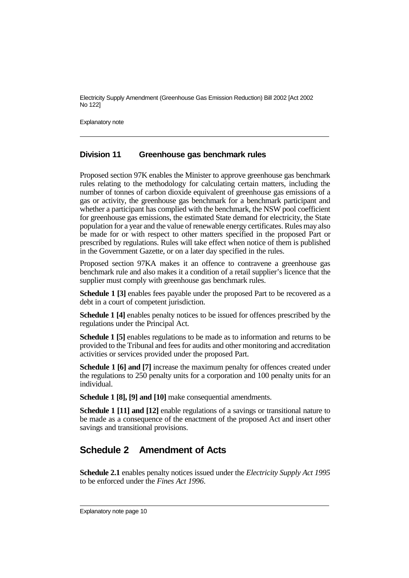Explanatory note

#### **Division 11 Greenhouse gas benchmark rules**

Proposed section 97K enables the Minister to approve greenhouse gas benchmark rules relating to the methodology for calculating certain matters, including the number of tonnes of carbon dioxide equivalent of greenhouse gas emissions of a gas or activity, the greenhouse gas benchmark for a benchmark participant and whether a participant has complied with the benchmark, the NSW pool coefficient for greenhouse gas emissions, the estimated State demand for electricity, the State population for a year and the value of renewable energy certificates. Rules may also be made for or with respect to other matters specified in the proposed Part or prescribed by regulations. Rules will take effect when notice of them is published in the Government Gazette, or on a later day specified in the rules.

Proposed section 97KA makes it an offence to contravene a greenhouse gas benchmark rule and also makes it a condition of a retail supplier's licence that the supplier must comply with greenhouse gas benchmark rules.

**Schedule 1 [3]** enables fees payable under the proposed Part to be recovered as a debt in a court of competent jurisdiction.

**Schedule 1 [4]** enables penalty notices to be issued for offences prescribed by the regulations under the Principal Act.

**Schedule 1 [5]** enables regulations to be made as to information and returns to be provided to the Tribunal and fees for audits and other monitoring and accreditation activities or services provided under the proposed Part.

**Schedule 1 [6] and [7]** increase the maximum penalty for offences created under the regulations to 250 penalty units for a corporation and 100 penalty units for an individual.

**Schedule 1 [8], [9] and [10]** make consequential amendments.

**Schedule 1 [11] and [12]** enable regulations of a savings or transitional nature to be made as a consequence of the enactment of the proposed Act and insert other savings and transitional provisions.

# **Schedule 2 Amendment of Acts**

**Schedule 2.1** enables penalty notices issued under the *Electricity Supply Act 1995* to be enforced under the *Fines Act 1996*.